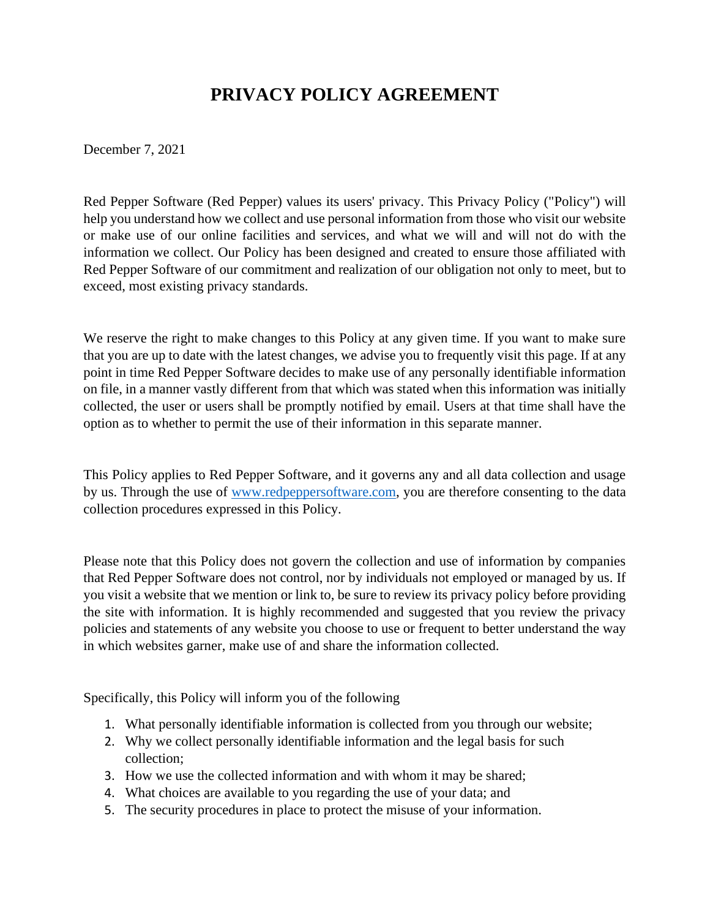# **PRIVACY POLICY AGREEMENT**

December 7, 2021

Red Pepper Software (Red Pepper) values its users' privacy. This Privacy Policy ("Policy") will help you understand how we collect and use personal information from those who visit our website or make use of our online facilities and services, and what we will and will not do with the information we collect. Our Policy has been designed and created to ensure those affiliated with Red Pepper Software of our commitment and realization of our obligation not only to meet, but to exceed, most existing privacy standards.

We reserve the right to make changes to this Policy at any given time. If you want to make sure that you are up to date with the latest changes, we advise you to frequently visit this page. If at any point in time Red Pepper Software decides to make use of any personally identifiable information on file, in a manner vastly different from that which was stated when this information was initially collected, the user or users shall be promptly notified by email. Users at that time shall have the option as to whether to permit the use of their information in this separate manner.

This Policy applies to Red Pepper Software, and it governs any and all data collection and usage by us. Through the use of www.redpeppersoftware.com, you are therefore consenting to the data collection procedures expressed in this Policy.

Please note that this Policy does not govern the collection and use of information by companies that Red Pepper Software does not control, nor by individuals not employed or managed by us. If you visit a website that we mention or link to, be sure to review its privacy policy before providing the site with information. It is highly recommended and suggested that you review the privacy policies and statements of any website you choose to use or frequent to better understand the way in which websites garner, make use of and share the information collected.

Specifically, this Policy will inform you of the following

- 1. What personally identifiable information is collected from you through our website;
- 2. Why we collect personally identifiable information and the legal basis for such collection;
- 3. How we use the collected information and with whom it may be shared;
- 4. What choices are available to you regarding the use of your data; and
- 5. The security procedures in place to protect the misuse of your information.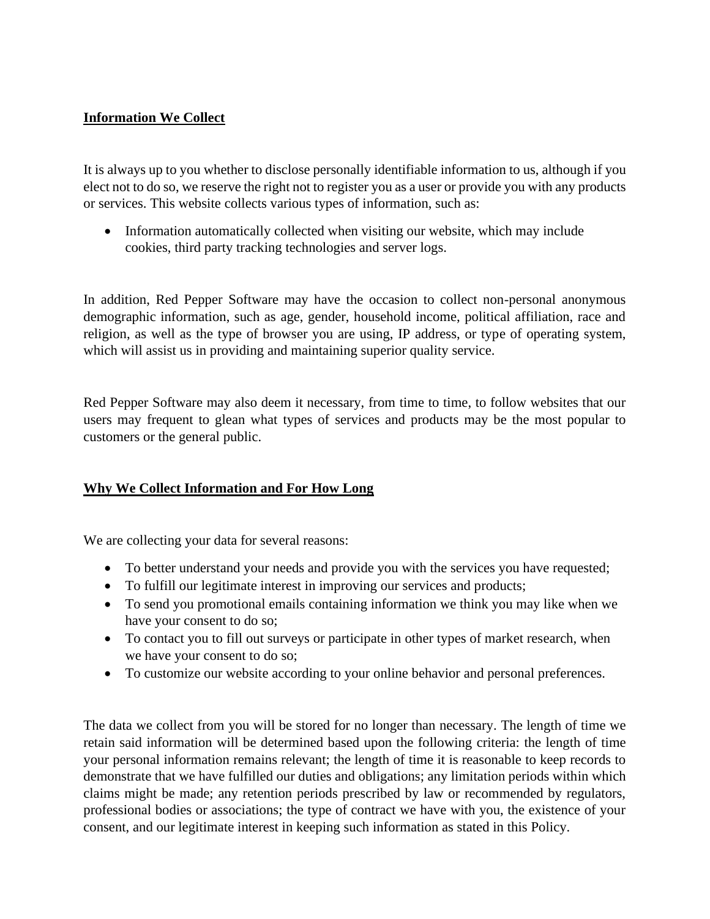# **Information We Collect**

It is always up to you whether to disclose personally identifiable information to us, although if you elect not to do so, we reserve the right not to register you as a user or provide you with any products or services. This website collects various types of information, such as:

• Information automatically collected when visiting our website, which may include cookies, third party tracking technologies and server logs.

In addition, Red Pepper Software may have the occasion to collect non-personal anonymous demographic information, such as age, gender, household income, political affiliation, race and religion, as well as the type of browser you are using, IP address, or type of operating system, which will assist us in providing and maintaining superior quality service.

Red Pepper Software may also deem it necessary, from time to time, to follow websites that our users may frequent to glean what types of services and products may be the most popular to customers or the general public.

## **Why We Collect Information and For How Long**

We are collecting your data for several reasons:

- To better understand your needs and provide you with the services you have requested;
- To fulfill our legitimate interest in improving our services and products;
- To send you promotional emails containing information we think you may like when we have your consent to do so;
- To contact you to fill out surveys or participate in other types of market research, when we have your consent to do so;
- To customize our website according to your online behavior and personal preferences.

The data we collect from you will be stored for no longer than necessary. The length of time we retain said information will be determined based upon the following criteria: the length of time your personal information remains relevant; the length of time it is reasonable to keep records to demonstrate that we have fulfilled our duties and obligations; any limitation periods within which claims might be made; any retention periods prescribed by law or recommended by regulators, professional bodies or associations; the type of contract we have with you, the existence of your consent, and our legitimate interest in keeping such information as stated in this Policy.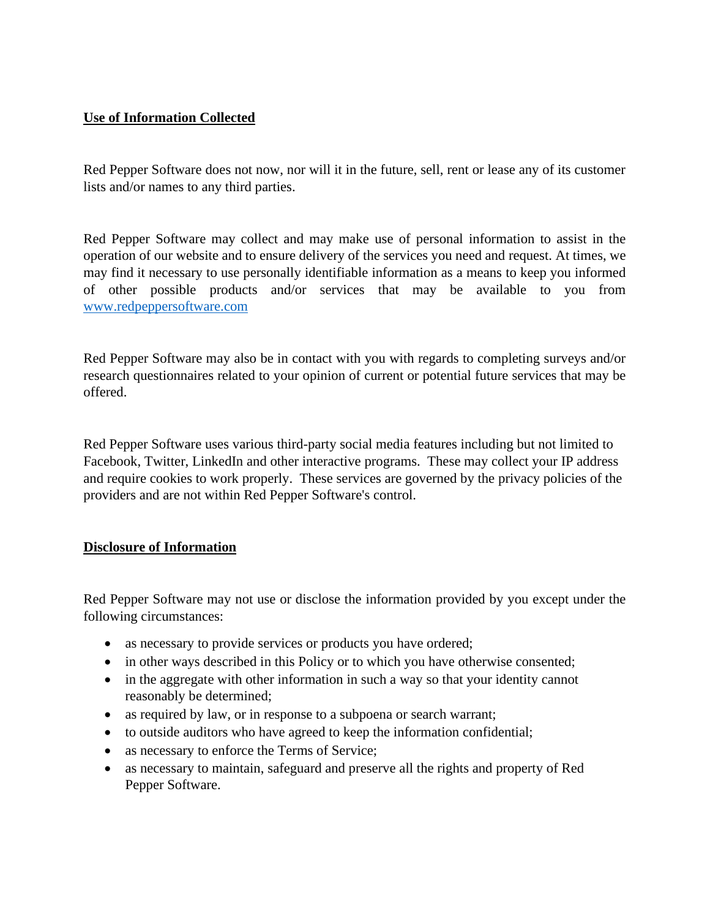# **Use of Information Collected**

Red Pepper Software does not now, nor will it in the future, sell, rent or lease any of its customer lists and/or names to any third parties.

Red Pepper Software may collect and may make use of personal information to assist in the operation of our website and to ensure delivery of the services you need and request. At times, we may find it necessary to use personally identifiable information as a means to keep you informed of other possible products and/or services that may be available to you from www.redpeppersoftware.com

Red Pepper Software may also be in contact with you with regards to completing surveys and/or research questionnaires related to your opinion of current or potential future services that may be offered.

Red Pepper Software uses various third-party social media features including but not limited to Facebook, Twitter, LinkedIn and other interactive programs. These may collect your IP address and require cookies to work properly. These services are governed by the privacy policies of the providers and are not within Red Pepper Software's control.

## **Disclosure of Information**

Red Pepper Software may not use or disclose the information provided by you except under the following circumstances:

- as necessary to provide services or products you have ordered;
- in other ways described in this Policy or to which you have otherwise consented;
- in the aggregate with other information in such a way so that your identity cannot reasonably be determined;
- as required by law, or in response to a subpoena or search warrant;
- to outside auditors who have agreed to keep the information confidential;
- as necessary to enforce the Terms of Service;
- as necessary to maintain, safeguard and preserve all the rights and property of Red Pepper Software.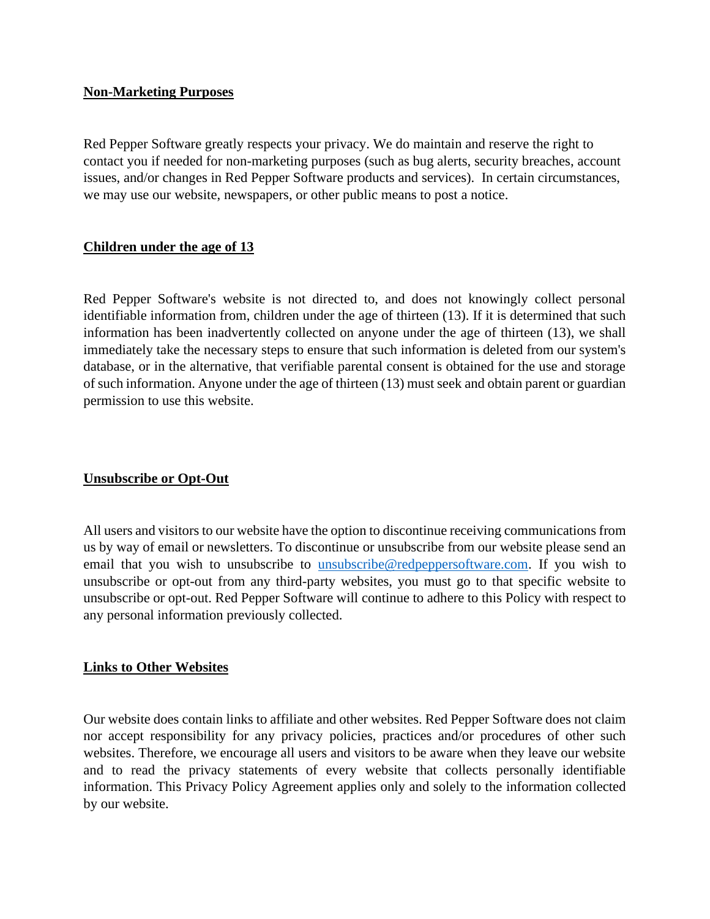#### **Non-Marketing Purposes**

Red Pepper Software greatly respects your privacy. We do maintain and reserve the right to contact you if needed for non-marketing purposes (such as bug alerts, security breaches, account issues, and/or changes in Red Pepper Software products and services). In certain circumstances, we may use our website, newspapers, or other public means to post a notice.

## **Children under the age of 13**

Red Pepper Software's website is not directed to, and does not knowingly collect personal identifiable information from, children under the age of thirteen (13). If it is determined that such information has been inadvertently collected on anyone under the age of thirteen (13), we shall immediately take the necessary steps to ensure that such information is deleted from our system's database, or in the alternative, that verifiable parental consent is obtained for the use and storage of such information. Anyone under the age of thirteen (13) must seek and obtain parent or guardian permission to use this website.

## **Unsubscribe or Opt-Out**

All users and visitors to our website have the option to discontinue receiving communications from us by way of email or newsletters. To discontinue or unsubscribe from our website please send an email that you wish to unsubscribe to [unsubscribe@redpeppersoftware.com.](mailto:unsubscribe@redpeppersoftware.com) If you wish to unsubscribe or opt-out from any third-party websites, you must go to that specific website to unsubscribe or opt-out. Red Pepper Software will continue to adhere to this Policy with respect to any personal information previously collected.

#### **Links to Other Websites**

Our website does contain links to affiliate and other websites. Red Pepper Software does not claim nor accept responsibility for any privacy policies, practices and/or procedures of other such websites. Therefore, we encourage all users and visitors to be aware when they leave our website and to read the privacy statements of every website that collects personally identifiable information. This Privacy Policy Agreement applies only and solely to the information collected by our website.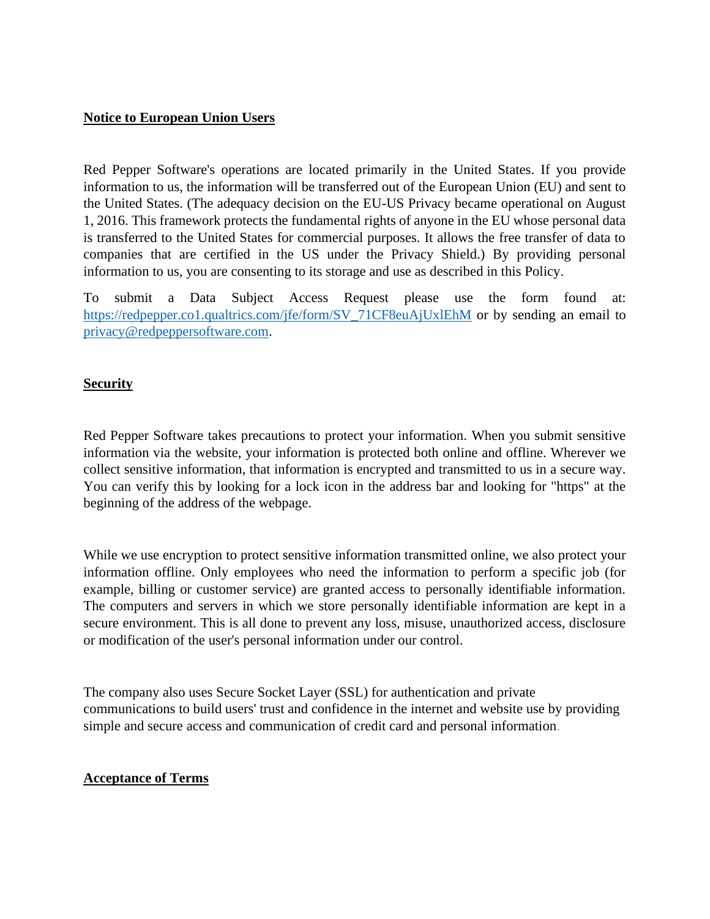#### **Notice to European Union Users**

Red Pepper Software's operations are located primarily in the United States. If you provide information to us, the information will be transferred out of the European Union (EU) and sent to the United States. (The adequacy decision on the EU-US Privacy became operational on August 1, 2016. This framework protects the fundamental rights of anyone in the EU whose personal data is transferred to the United States for commercial purposes. It allows the free transfer of data to companies that are certified in the US under the Privacy Shield.) By providing personal information to us, you are consenting to its storage and use as described in this Policy.

To submit a Data Subject Access Request please use the form found at: [https://redpepper.co1.qualtrics.com/jfe/form/SV\\_71CF8euAjUxlEhM](https://redpepper.co1.qualtrics.com/jfe/form/SV_71CF8euAjUxlEhM) or by sending an email to [privacy@redpeppersoftware.com.](mailto:privacy@redpeppersoftware.com)

#### **Security**

Red Pepper Software takes precautions to protect your information. When you submit sensitive information via the website, your information is protected both online and offline. Wherever we collect sensitive information, that information is encrypted and transmitted to us in a secure way. You can verify this by looking for a lock icon in the address bar and looking for "https" at the beginning of the address of the webpage.

While we use encryption to protect sensitive information transmitted online, we also protect your information offline. Only employees who need the information to perform a specific job (for example, billing or customer service) are granted access to personally identifiable information. The computers and servers in which we store personally identifiable information are kept in a secure environment. This is all done to prevent any loss, misuse, unauthorized access, disclosure or modification of the user's personal information under our control.

The company also uses Secure Socket Layer (SSL) for authentication and private communications to build users' trust and confidence in the internet and website use by providing simple and secure access and communication of credit card and personal information.

## **Acceptance of Terms**